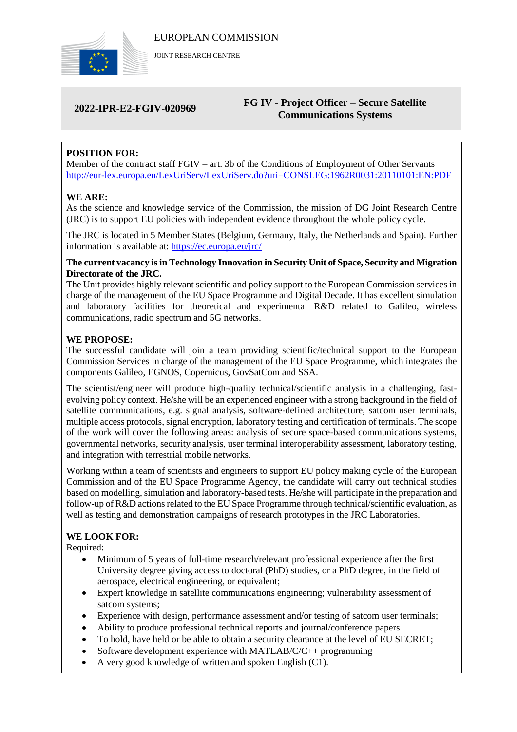

JOINT RESEARCH CENTRE

# **2022-IPR-E2-FGIV-020969 FG IV - Project Officer – Secure Satellite Communications Systems**

# **POSITION FOR:**

Member of the contract staff FGIV – art. 3b of the Conditions of Employment of Other Servants <http://eur-lex.europa.eu/LexUriServ/LexUriServ.do?uri=CONSLEG:1962R0031:20110101:EN:PDF>

## **WE ARE:**

As the science and knowledge service of the Commission, the mission of DG Joint Research Centre (JRC) is to support EU policies with independent evidence throughout the whole policy cycle.

The JRC is located in 5 Member States (Belgium, Germany, Italy, the Netherlands and Spain). Further information is available at: <https://ec.europa.eu/jrc/>

#### **The current vacancy is in Technology Innovation in Security Unit of Space, Security and Migration Directorate of the JRC.**

The Unit provides highly relevant scientific and policy support to the European Commission services in charge of the management of the EU Space Programme and Digital Decade. It has excellent simulation and laboratory facilities for theoretical and experimental R&D related to Galileo, wireless communications, radio spectrum and 5G networks.

## **WE PROPOSE:**

The successful candidate will join a team providing scientific/technical support to the European Commission Services in charge of the management of the EU Space Programme, which integrates the components Galileo, EGNOS, Copernicus, GovSatCom and SSA.

The scientist/engineer will produce high-quality technical/scientific analysis in a challenging, fastevolving policy context. He/she will be an experienced engineer with a strong background in the field of satellite communications, e.g. signal analysis, software-defined architecture, satcom user terminals, multiple access protocols, signal encryption, laboratory testing and certification of terminals. The scope of the work will cover the following areas: analysis of secure space-based communications systems, governmental networks, security analysis, user terminal interoperability assessment, laboratory testing, and integration with terrestrial mobile networks.

Working within a team of scientists and engineers to support EU policy making cycle of the European Commission and of the EU Space Programme Agency, the candidate will carry out technical studies based on modelling, simulation and laboratory-based tests. He/she will participate in the preparation and follow-up of R&D actions related to the EU Space Programme through technical/scientific evaluation, as well as testing and demonstration campaigns of research prototypes in the JRC Laboratories.

# **WE LOOK FOR:**

Required:

- Minimum of 5 years of full-time research/relevant professional experience after the first University degree giving access to doctoral (PhD) studies, or a PhD degree, in the field of aerospace, electrical engineering, or equivalent;
- Expert knowledge in satellite communications engineering; vulnerability assessment of satcom systems;
- Experience with design, performance assessment and/or testing of satcom user terminals;
- Ability to produce professional technical reports and journal/conference papers
- To hold, have held or be able to obtain a security clearance at the level of EU SECRET;
- Software development experience with MATLAB/ $C/C++$  programming
- A very good knowledge of written and spoken English (C1).